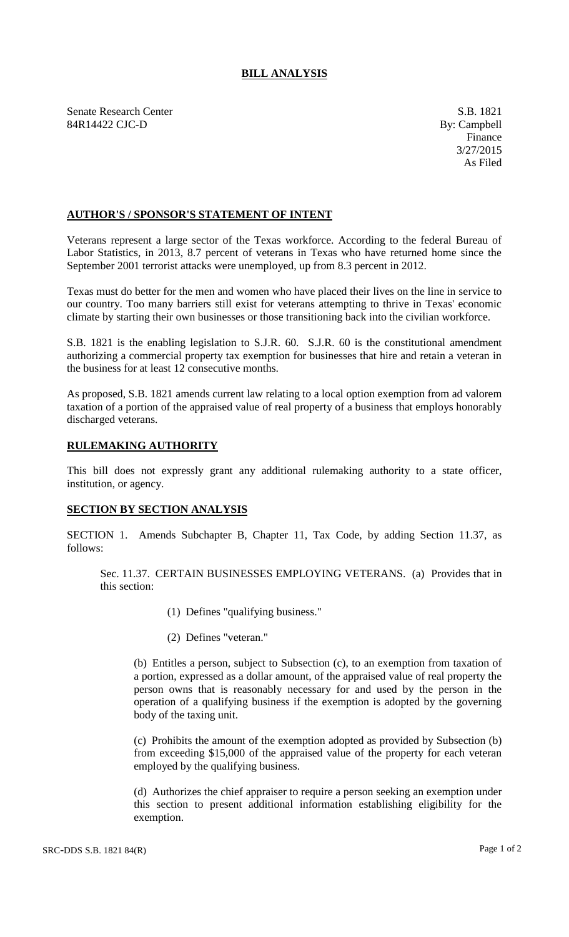## **BILL ANALYSIS**

Senate Research Center S.B. 1821 84R14422 CJC-D By: Campbell

## **AUTHOR'S / SPONSOR'S STATEMENT OF INTENT**

Veterans represent a large sector of the Texas workforce. According to the federal Bureau of Labor Statistics, in 2013, 8.7 percent of veterans in Texas who have returned home since the September 2001 terrorist attacks were unemployed, up from 8.3 percent in 2012.

Texas must do better for the men and women who have placed their lives on the line in service to our country. Too many barriers still exist for veterans attempting to thrive in Texas' economic climate by starting their own businesses or those transitioning back into the civilian workforce.

S.B. 1821 is the enabling legislation to S.J.R. 60. S.J.R. 60 is the constitutional amendment authorizing a commercial property tax exemption for businesses that hire and retain a veteran in the business for at least 12 consecutive months.

As proposed, S.B. 1821 amends current law relating to a local option exemption from ad valorem taxation of a portion of the appraised value of real property of a business that employs honorably discharged veterans.

## **RULEMAKING AUTHORITY**

This bill does not expressly grant any additional rulemaking authority to a state officer, institution, or agency.

## **SECTION BY SECTION ANALYSIS**

SECTION 1. Amends Subchapter B, Chapter 11, Tax Code, by adding Section 11.37, as follows:

Sec. 11.37. CERTAIN BUSINESSES EMPLOYING VETERANS. (a) Provides that in this section:

- (1) Defines "qualifying business."
- (2) Defines "veteran."

(b) Entitles a person, subject to Subsection (c), to an exemption from taxation of a portion, expressed as a dollar amount, of the appraised value of real property the person owns that is reasonably necessary for and used by the person in the operation of a qualifying business if the exemption is adopted by the governing body of the taxing unit.

(c) Prohibits the amount of the exemption adopted as provided by Subsection (b) from exceeding \$15,000 of the appraised value of the property for each veteran employed by the qualifying business.

(d) Authorizes the chief appraiser to require a person seeking an exemption under this section to present additional information establishing eligibility for the exemption.